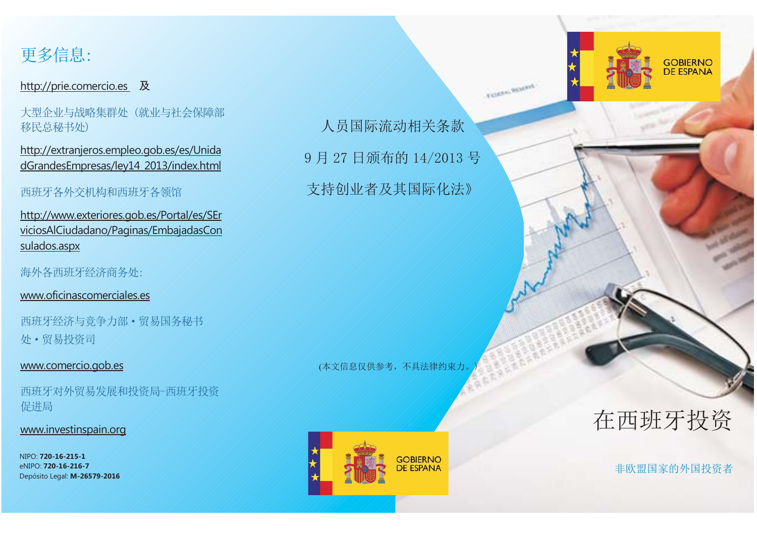

#### <u>http://prie.comercio.es</u> 及

大型企业与战略集群处(就业与社会保障部 移民总秘书处)

http://extranjeros.empleo.gob.es/es/Unida dGrandesEmpresas/ley14\_2013/index.html

#### 西班牙各外交机构和西班牙各领馆

http://www.exteriores.gob.es/Portal/es/SEr viciosAlCiudadano/Paginas/EmbajadasCon sulados.aspx

海外各西班牙经济商务处:

www.oficinascomerciales.es

西班牙经济与竞争力部 · 贸易国务秘书 处·贸易投资司

#### www.comercio.gob.es

西班牙对外贸易发展和投资局-西班牙投资 促进局

#### www.investinspain.org

NIPO: **720-16-215-1** eNIPO: **720-16-216-7**Depósito Legal: **M-26579-2016**

人员国际流动相关条款 9月27日颁布的 14/2013 号 支持创业者及其国际化法》

**TURKS BUNNE** 

(本文信息仅供参考,不具法律约束力。



在西班牙投资

GOBIERNO<br>DE ESPANA

非欧盟国家的外国投资者